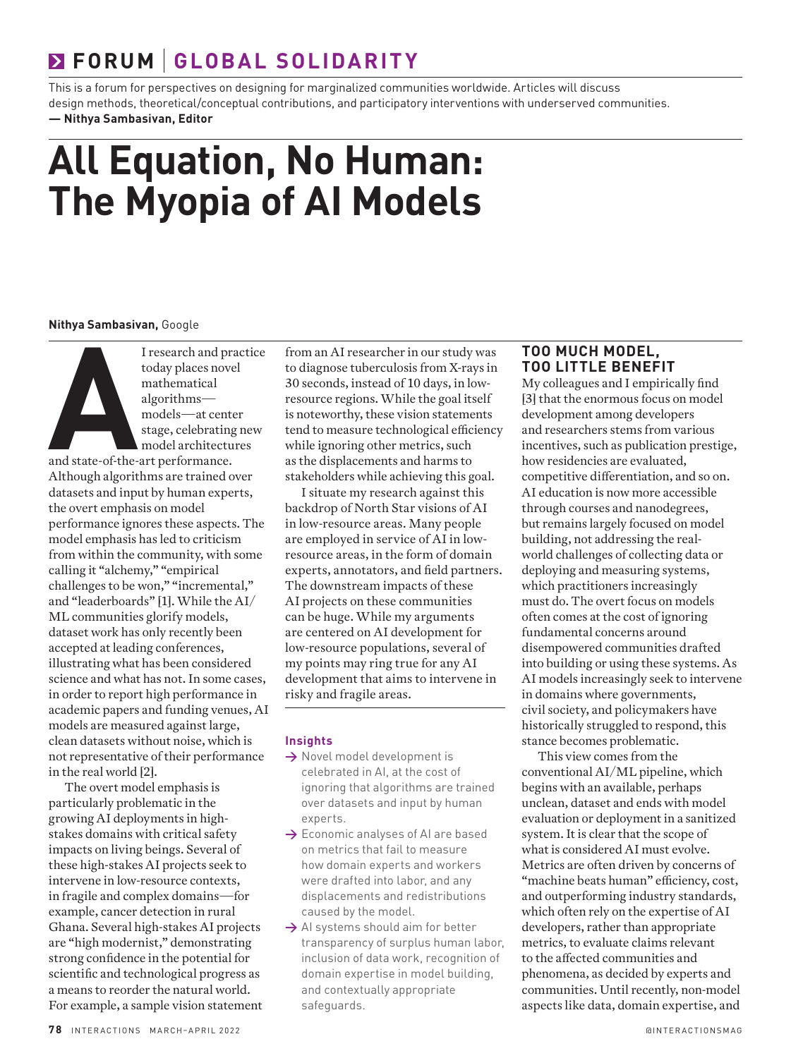## **FORUM GLOBAL SOLIDARITY**

This is a forum for perspectives on designing for marginalized communities worldwide. Articles will discuss design methods, theoretical/conceptual contributions, and participatory interventions with underserved communities. **— Nithya Sambasivan, Editor**

# **All Equation, No Human: The Myopia of AI Models**

#### **Nithya Sambasivan,** Google

I research and practice<br>today places novel<br>mathematical<br>algorithms—<br>models—at center<br>stage, celebrating new<br>model architectures<br>and state-of-the-art performance. today places novel mathematical algorithms models—at center stage, celebrating new model architectures and state-of-the-art performance. Although algorithms are trained over datasets and input by human experts, the overt emphasis on model performance ignores these aspects. The model emphasis has led to criticism from within the community, with some calling it "alchemy," "empirical challenges to be won," "incremental," and "leaderboards" [1]. While the AI/ ML communities glorify models, dataset work has only recently been accepted at leading conferences, illustrating what has been considered science and what has not. In some cases, in order to report high performance in academic papers and funding venues, AI models are measured against large, clean datasets without noise, which is not representative of their performance in the real world [2].

The overt model emphasis is particularly problematic in the growing AI deployments in highstakes domains with critical safety impacts on living beings. Several of these high-stakes AI projects seek to intervene in low-resource contexts, in fragile and complex domains—for example, cancer detection in rural Ghana. Several high-stakes AI projects are "high modernist," demonstrating strong confidence in the potential for scientific and technological progress as a means to reorder the natural world. For example, a sample vision statement from an AI researcher in our study was to diagnose tuberculosis from X-rays in 30 seconds, instead of 10 days, in lowresource regions. While the goal itself is noteworthy, these vision statements tend to measure technological efficiency while ignoring other metrics, such as the displacements and harms to stakeholders while achieving this goal.

I situate my research against this backdrop of North Star visions of AI in low-resource areas. Many people are employed in service of AI in lowresource areas, in the form of domain experts, annotators, and field partners. The downstream impacts of these AI projects on these communities can be huge. While my arguments are centered on AI development for low-resource populations, several of my points may ring true for any AI development that aims to intervene in risky and fragile areas.

#### **Insights**

- **→** Novel model development is celebrated in AI, at the cost of ignoring that algorithms are trained over datasets and input by human experts.
- **→** Economic analyses of AI are based on metrics that fail to measure how domain experts and workers were drafted into labor, and any displacements and redistributions caused by the model.
- → AI systems should aim for better transparency of surplus human labor, inclusion of data work, recognition of domain expertise in model building, and contextually appropriate safeguards.

### **TOO MUCH MODEL, TOO LITTLE BENEFIT**

My colleagues and I empirically find [3] that the enormous focus on model development among developers and researchers stems from various incentives, such as publication prestige, how residencies are evaluated, competitive differentiation, and so on. AI education is now more accessible through courses and nanodegrees, but remains largely focused on model building, not addressing the realworld challenges of collecting data or deploying and measuring systems, which practitioners increasingly must do. The overt focus on models often comes at the cost of ignoring fundamental concerns around disempowered communities drafted into building or using these systems. As AI models increasingly seek to intervene in domains where governments, civil society, and policymakers have historically struggled to respond, this stance becomes problematic.

This view comes from the conventional AI/ML pipeline, which begins with an available, perhaps unclean, dataset and ends with model evaluation or deployment in a sanitized system. It is clear that the scope of what is considered AI must evolve. Metrics are often driven by concerns of "machine beats human" efficiency, cost, and outperforming industry standards, which often rely on the expertise of AI developers, rather than appropriate metrics, to evaluate claims relevant to the affected communities and phenomena, as decided by experts and communities. Until recently, non-model aspects like data, domain expertise, and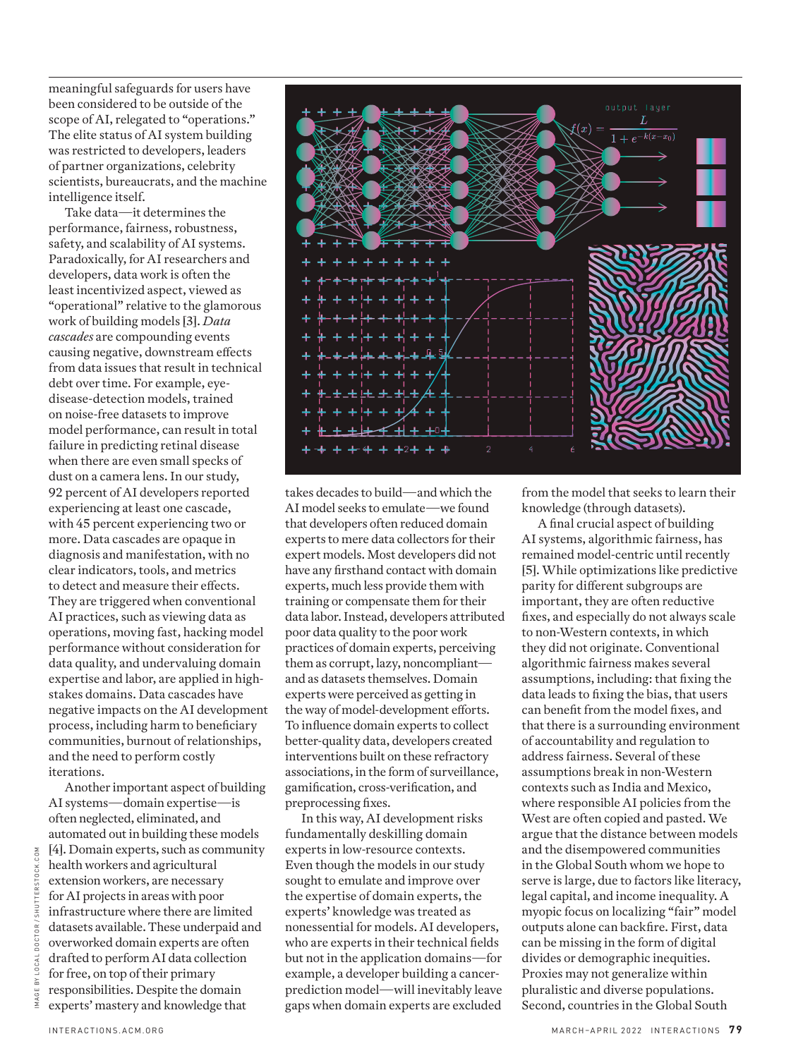meaningful safeguards for users have been considered to be outside of the scope of AI, relegated to "operations." The elite status of AI system building was restricted to developers, leaders of partner organizations, celebrity scientists, bureaucrats, and the machine intelligence itself.

Take data—it determines the performance, fairness, robustness, safety, and scalability of AI systems. Paradoxically, for AI researchers and developers, data work is often the least incentivized aspect, viewed as "operational" relative to the glamorous work of building models [3]. *Data cascades* are compounding events causing negative, downstream effects from data issues that result in technical debt over time. For example, eyedisease-detection models, trained on noise-free datasets to improve model performance, can result in total failure in predicting retinal disease when there are even small specks of dust on a camera lens. In our study, 92 percent of AI developers reported experiencing at least one cascade, with 45 percent experiencing two or more. Data cascades are opaque in diagnosis and manifestation, with no clear indicators, tools, and metrics to detect and measure their effects. They are triggered when conventional AI practices, such as viewing data as operations, moving fast, hacking model performance without consideration for data quality, and undervaluing domain expertise and labor, are applied in highstakes domains. Data cascades have negative impacts on the AI development process, including harm to beneficiary communities, burnout of relationships, and the need to perform costly iterations.

Another important aspect of building AI systems—domain expertise—is often neglected, eliminated, and automated out in building these models [4]. Domain experts, such as community health workers and agricultural extension workers, are necessary for AI projects in areas with poor infrastructure where there are limited datasets available. These underpaid and overworked domain experts are often drafted to perform AI data collection for free, on top of their primary responsibilities. Despite the domain experts' mastery and knowledge that



takes decades to build—and which the AI model seeks to emulate—we found that developers often reduced domain experts to mere data collectors for their expert models. Most developers did not have any firsthand contact with domain experts, much less provide them with training or compensate them for their data labor. Instead, developers attributed poor data quality to the poor work practices of domain experts, perceiving them as corrupt, lazy, noncompliant and as datasets themselves. Domain experts were perceived as getting in the way of model-development efforts. To influence domain experts to collect better-quality data, developers created interventions built on these refractory associations, in the form of surveillance, gamification, cross-verification, and preprocessing fixes.

In this way, AI development risks fundamentally deskilling domain experts in low-resource contexts. Even though the models in our study sought to emulate and improve over the expertise of domain experts, the experts' knowledge was treated as nonessential for models. AI developers, who are experts in their technical fields but not in the application domains—for example, a developer building a cancerprediction model—will inevitably leave gaps when domain experts are excluded from the model that seeks to learn their knowledge (through datasets).

A final crucial aspect of building AI systems, algorithmic fairness, has remained model-centric until recently [5]. While optimizations like predictive parity for different subgroups are important, they are often reductive fixes, and especially do not always scale to non-Western contexts, in which they did not originate. Conventional algorithmic fairness makes several assumptions, including: that fixing the data leads to fixing the bias, that users can benefit from the model fixes, and that there is a surrounding environment of accountability and regulation to address fairness. Several of these assumptions break in non-Western contexts such as India and Mexico, where responsible AI policies from the West are often copied and pasted. We argue that the distance between models and the disempowered communities in the Global South whom we hope to serve is large, due to factors like literacy, legal capital, and income inequality. A myopic focus on localizing "fair" model outputs alone can backfire. First, data can be missing in the form of digital divides or demographic inequities. Proxies may not generalize within pluralistic and diverse populations. Second, countries in the Global South